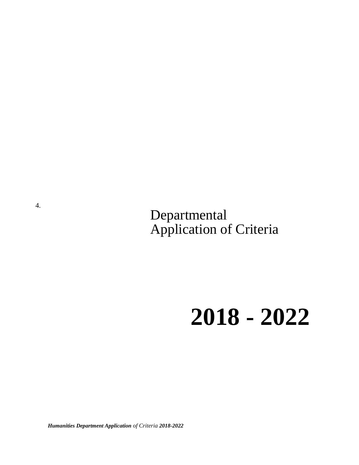Departmental Application of Criteria

# **2018 - 2022**

*Humanities Department Application of Criteria 2018-2022*

4.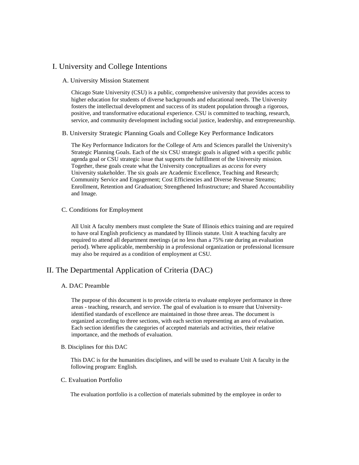## I. University and College Intentions

#### A. University Mission Statement

Chicago State University (CSU) is a public, comprehensive university that provides access to higher education for students of diverse backgrounds and educational needs. The University fosters the intellectual development and success of its student population through a rigorous, positive, and transformative educational experience. CSU is committed to teaching, research, service, and community development including social justice, leadership, and entrepreneurship.

#### B. University Strategic Planning Goals and College Key Performance Indicators

The Key Performance Indicators for the College of Arts and Sciences parallel the University's Strategic Planning Goals. Each of the six CSU strategic goals is aligned with a specific public agenda goal or CSU strategic issue that supports the fulfillment of the University mission. Together, these goals create what the University conceptualizes as *access* for every University stakeholder. The six goals are Academic Excellence, Teaching and Research; Community Service and Engagement; Cost Efficiencies and Diverse Revenue Streams; Enrollment, Retention and Graduation; Strengthened Infrastructure; and Shared Accountability and Image.

#### C. Conditions for Employment

All Unit A faculty members must complete the State of Illinois ethics training and are required to have oral English proficiency as mandated by Illinois statute. Unit A teaching faculty are required to attend all department meetings (at no less than a 75% rate during an evaluation period). Where applicable, membership in a professional organization or professional licensure may also be required as a condition of employment at CSU.

## II. The Departmental Application of Criteria (DAC)

#### A. DAC Preamble

The purpose of this document is to provide criteria to evaluate employee performance in three areas - teaching, research, and service. The goal of evaluation is to ensure that Universityidentified standards of excellence are maintained in those three areas. The document is organized according to three sections, with each section representing an area of evaluation. Each section identifies the categories of accepted materials and activities, their relative importance, and the methods of evaluation.

#### B. Disciplines for this DAC

This DAC is for the humanities disciplines, and will be used to evaluate Unit A faculty in the following program: English.

#### C. Evaluation Portfolio

The evaluation portfolio is a collection of materials submitted by the employee in order to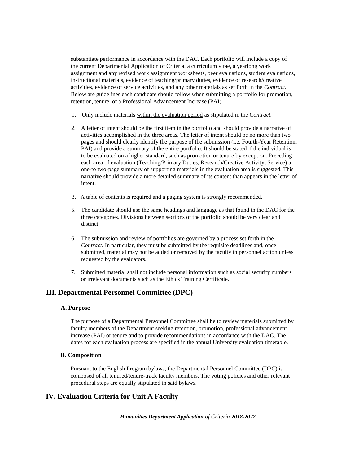substantiate performance in accordance with the DAC. Each portfolio will include a copy of the current Departmental Application of Criteria, a curriculum vitae, a yearlong work assignment and any revised work assignment worksheets, peer evaluations, student evaluations, instructional materials, evidence of teaching/primary duties, evidence of research/creative activities, evidence of service activities, and any other materials as set forth in the *Contract.*  Below are guidelines each candidate should follow when submitting a portfolio for promotion, retention, tenure, or a Professional Advancement Increase (PAI).

- 1. Only include materials within the evaluation period as stipulated in the *Contract.*
- 2. A letter of intent should be the first item in the portfolio and should provide a narrative of activities accomplished in the three areas. The letter of intent should be no more than two pages and should clearly identify the purpose of the submission (i.e. Fourth-Year Retention, PAI) and provide a summary of the entire portfolio. It should be stated if the individual is to be evaluated on a higher standard, such as promotion or tenure by exception. Preceding each area of evaluation (Teaching/Primary Duties, Research/Creative Activity, Service) a one-to two-page summary of supporting materials in the evaluation area is suggested. This narrative should provide a more detailed summary of its content than appears in the letter of intent.
- 3. A table of contents is required and a paging system is strongly recommended.
- 5. The candidate should use the same headings and language as that found in the DAC for the three categories. Divisions between sections of the portfolio should be very clear and distinct.
- 6. The submission and review of portfolios are governed by a process set forth in the *Contract.* In particular, they must be submitted by the requisite deadlines and, once submitted, material may not be added or removed by the faculty in personnel action unless requested by the evaluators.
- 7. Submitted material shall not include personal information such as social security numbers or irrelevant documents such as the Ethics Training Certificate.

## **III. Departmental Personnel Committee (DPC)**

## **A. Purpose**

The purpose of a Departmental Personnel Committee shall be to review materials submitted by faculty members of the Department seeking retention, promotion, professional advancement increase (PAI) or tenure and to provide recommendations in accordance with the DAC. The dates for each evaluation process are specified in the annual University evaluation timetable.

#### **B. Composition**

Pursuant to the English Program bylaws, the Departmental Personnel Committee (DPC) is composed of all tenured/tenure-track faculty members. The voting policies and other relevant procedural steps are equally stipulated in said bylaws.

## **IV. Evaluation Criteria for Unit A Faculty**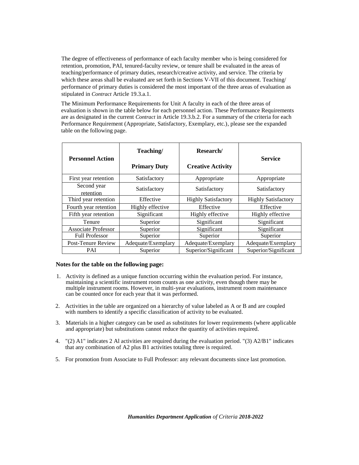The degree of effectiveness of performance of each faculty member who is being considered for retention, promotion, PAI, tenured-faculty review, or tenure shall be evaluated in the areas of teaching/performance of primary duties, research/creative activity, and service. The criteria by which these areas shall be evaluated are set forth in Sections V-VII of this document. Teaching/ performance of primary duties is considered the most important of the three areas of evaluation as stipulated in *Contract* Article 19.3.a.1.

The Minimum Performance Requirements for Unit A faculty in each of the three areas of evaluation is shown in the table below for each personnel action. These Performance Requirements are as designated in the current *Contract* in Article 19.3.b.2. For a summary of the criteria for each Performance Requirement (Appropriate, Satisfactory, Exemplary, etc.), please see the expanded table on the following page.

| Teaching/<br><b>Personnel Action</b> |                     | Research/                  | <b>Service</b>             |  |
|--------------------------------------|---------------------|----------------------------|----------------------------|--|
|                                      | <b>Primary Duty</b> | <b>Creative Activity</b>   |                            |  |
| First year retention                 | Satisfactory        | Appropriate                | Appropriate                |  |
| Second year<br>retention             | Satisfactory        | Satisfactory               | Satisfactory               |  |
| Third year retention                 | Effective           | <b>Highly Satisfactory</b> | <b>Highly Satisfactory</b> |  |
| Fourth year retention                | Highly effective    | Effective                  | Effective                  |  |
| Fifth year retention                 | Significant         | Highly effective           | Highly effective           |  |
| Tenure                               | Superior            | Significant                | Significant                |  |
| <b>Associate Professor</b>           | Superior            | Significant                | Significant                |  |
| <b>Full Professor</b>                | Superior            | Superior                   | Superior                   |  |
| Post-Tenure Review                   | Adequate/Exemplary  | Adequate/Exemplary         | Adequate/Exemplary         |  |
| <b>PAI</b>                           | Superior            | Superior/Significant       | Superior/Significant       |  |

#### **Notes for the table on the following page:**

- 1. Activity is defined as a unique function occurring within the evaluation period. For instance, maintaining a scientific instrument room counts as one activity, even though there may be multiple instrument rooms. However, in multi-year evaluations, instrument room maintenance can be counted once for each year that it was performed.
- 2. Activities in the table are organized on a hierarchy of value labeled as A or B and are coupled with numbers to identify a specific classification of activity to be evaluated.
- 3. Materials in a higher category can be used as substitutes for lower requirements (where applicable and appropriate) but substitutions cannot reduce the quantity of activities required.
- 4. "(2) A1" indicates 2 Al activities are required during the evaluation period. "(3) A2/B1" indicates that any combination of A2 plus B1 activities totaling three is required.
- 5. For promotion from Associate to Full Professor: any relevant documents since last promotion.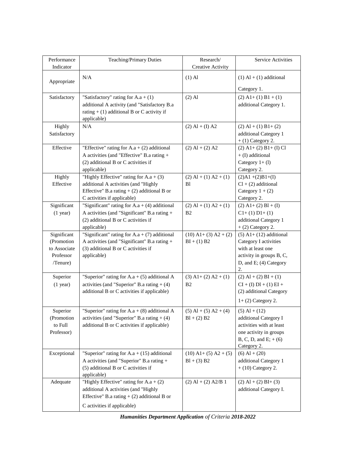| Performance<br>Indicator | Teaching/Primary Duties                         | Research/<br><b>Creative Activity</b> | <b>Service Activities</b>    |
|--------------------------|-------------------------------------------------|---------------------------------------|------------------------------|
| Appropriate              | N/A                                             | $(1)$ Al                              | $(1)$ Al + $(1)$ additional  |
|                          |                                                 |                                       | Category 1.                  |
| Satisfactory             | "Satisfactory" rating for $A.a + (1)$           | $(2)$ Al                              | $(2)$ A1+ (1) B1 + (1)       |
|                          | additional A activity (and "Satisfactory B.a    |                                       | additional Category 1.       |
|                          | rating $+ (1)$ additional B or C activity if    |                                       |                              |
|                          | applicable)                                     |                                       |                              |
| Highly                   | N/A                                             | $(2)$ Al + (I) A2                     | $(2)$ Al + (1) B1+ (2)       |
| Satisfactory             |                                                 |                                       | additional Category 1        |
|                          |                                                 |                                       | $+$ (1) Category 2.          |
| Effective                | "Effective" rating for $A.a + (2)$ additional   | $(2)$ Al + $(2)$ A2                   | $(2)$ A1+ $(2)$ B1+ $(I)$ Cl |
|                          | A activities (and "Effective" B.a rating +      |                                       | $+$ (I) additional           |
|                          | (2) additional B or C activities if             |                                       | Category $1+$ (1)            |
|                          | applicable)                                     |                                       | Category 2.                  |
| Highly                   | "Highly Effective" rating for $A.a + (3)$       | $(2)$ Al + (1) A2 + (1)               | $(2)$ A1 + $(2)$ B1+ $(I)$   |
| Effective                | additional A activities (and "Highly            | <b>B</b> l                            | $Cl + (2)$ additional        |
|                          | Effective" B.a rating $+$ (2) additional B or   |                                       | Category $1 + (2)$           |
|                          | C activities if applicable)                     |                                       | Category 2.                  |
| Significant              | "Significant" rating for $A.a + (4)$ additional | $(2)$ Al + (1) A2 + (1)               | $(2)$ A1+ $(2)$ B1 + (I)     |
| $(1$ year)               | A activities (and "Significant" B.a rating +    | B <sub>2</sub>                        | $C1+ (1) D1+ (1)$            |
|                          | (2) additional B or C activities if             |                                       | additional Category 1        |
|                          | applicable)                                     |                                       | $+$ (2) Category 2.          |
| Significant              | "Significant" rating for $A.a + (7)$ additional | $(10)$ A1+ (3) A2 + (2)               | $(5)$ A1+ $(12)$ additional  |
| (Promotion               | A activities (and "Significant" B.a rating +    | $BI + (1) B2$                         | Category I activities        |
| to Associate             | (3) additional B or C activities if             |                                       | with at least one            |
| Professor                | applicable)                                     |                                       | activity in groups B, C,     |
| /Tenure)                 |                                                 |                                       | D, and E; (4) Category       |
|                          |                                                 |                                       | 2.                           |
| Superior                 | "Superior" rating for $A.a + (5)$ additional A  | $(3)$ A1+ $(2)$ A2 + $(1)$            | $(2)$ Al + $(2)$ BI + $(1)$  |
| $(1$ year)               | activities (and "Superior" B.a rating $+$ (4)   | B <sub>2</sub>                        | $CI + (I) DI + (1) EI +$     |
|                          | additional B or C activities if applicable)     |                                       | (2) additional Category      |
|                          |                                                 |                                       | $1+$ (2) Category 2.         |
| Superior                 | "Superior" rating for $A.a + (8)$ additional A  | $(5)$ Al + $(5)$ A2 + $(4)$           | $(5)$ Al + $(12)$            |
| (Promotion               | activities (and "Superior" B.a rating $+$ (4)   | $Bl + (2) B2$                         | additional Category I        |
| to Full                  | additional B or C activities if applicable)     |                                       | activities with at least     |
| Professor)               |                                                 |                                       | one activity in groups       |
|                          |                                                 |                                       | B, C, D, and E; $+(6)$       |
|                          |                                                 |                                       | Category 2.                  |
| Exceptional              | "Superior" rating for $A.a + (15)$ additional   | $(10)$ A1+ $(5)$ A2 + $(5)$           | $(6)$ Al + $(20)$            |
|                          | A activities (and "Superior" B.a rating +       | $Bl + (3) B2$                         | additional Category 1        |
|                          | (5) additional B or C activities if             |                                       | $+$ (10) Category 2.         |
|                          | applicable)                                     |                                       |                              |
| Adequate                 | "Highly Effective" rating for $A.a + (2)$       | $(2)$ Al + $(2)$ A2/B 1               | $(2)$ Al + $(2)$ BI+ $(3)$   |
|                          | additional A activities (and "Highly            |                                       | additional Category I.       |
|                          | Effective" B.a rating $+$ (2) additional B or   |                                       |                              |
|                          | C activities if applicable)                     |                                       |                              |
|                          |                                                 |                                       |                              |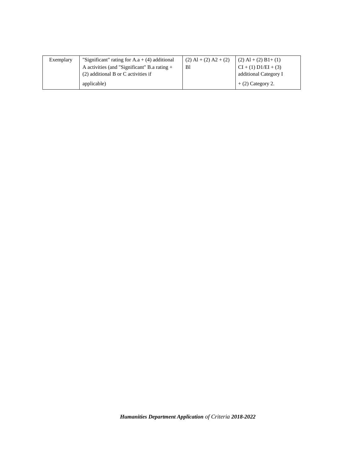| Exemplary | "Significant" rating for $A.a + (4)$ additional | $(2)$ Al + $(2)$ A2 + $(2)$ | $(2)$ Al + $(2)$ B1+ $(1)$ |
|-----------|-------------------------------------------------|-----------------------------|----------------------------|
|           | A activities (and "Significant" B.a rating $+$  | -B1                         | $CI + (1) D1/EI + (3)$     |
|           | $(2)$ additional B or C activities if           |                             | additional Category I      |
|           | applicable)                                     |                             | $+$ (2) Category 2.        |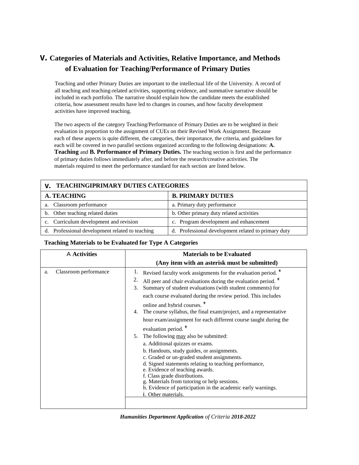# **v. Categories of Materials and Activities, Relative Importance, and Methods of Evaluation for Teaching/Performance of Primary Duties**

Teaching and other Primary Duties are important to the intellectual life of the University. A record of all teaching and teaching-related activities, supporting evidence, and summative narrative should be included in each portfolio. The narrative should explain how the candidate meets the established criteria, how assessment results have led to changes in courses, and how faculty development activities have improved teaching.

The two aspects of the category Teaching/Performance of Primary Duties are to be weighted in their evaluation in proportion to the assignment of CUEs on their Revised Work Assignment. Because each of these aspects is quite different, the categories, their importance, the criteria, and guidelines for each will be covered in two parallel sections organized according to the following designations: **A. Teaching** and **B. Performance of Primary Duties.** The teaching section is first and the performance of primary duties follows immediately after, and before the research/creative activities. The materials required to meet the performance standard for each section are listed below.

| <b>V. TEACHINGIPRIMARY DUTIES CATEGORIES</b>    |                                                     |  |
|-------------------------------------------------|-----------------------------------------------------|--|
| <b>A. TEACHING</b><br><b>B. PRIMARY DUTIES</b>  |                                                     |  |
| a. Classroom performance                        | a. Primary duty performance                         |  |
| b. Other teaching related duties                | b. Other primary duty related activities            |  |
| c. Curriculum development and revision          | c. Program development and enhancement              |  |
| d. Professional development related to teaching | d. Professional development related to primary duty |  |

#### **Teaching Materials to be Evaluated for Type A Categories**

| A Activities                | <b>Materials to be Evaluated</b>                                                                                                                                                                                                                                                                                                                                                                                                                                                                                                                                                                                                                                                                                                                                                                                                                                                                                                                   |
|-----------------------------|----------------------------------------------------------------------------------------------------------------------------------------------------------------------------------------------------------------------------------------------------------------------------------------------------------------------------------------------------------------------------------------------------------------------------------------------------------------------------------------------------------------------------------------------------------------------------------------------------------------------------------------------------------------------------------------------------------------------------------------------------------------------------------------------------------------------------------------------------------------------------------------------------------------------------------------------------|
|                             | (Any item with an asterisk must be submitted)                                                                                                                                                                                                                                                                                                                                                                                                                                                                                                                                                                                                                                                                                                                                                                                                                                                                                                      |
| Classroom performance<br>a. | Revised faculty work assignments for the evaluation period.<br>All peer and chair evaluations during the evaluation period. <sup>*</sup><br>Summary of student evaluations (with student comments) for<br>3.<br>each course evaluated during the review period. This includes<br>online and hybrid courses. *<br>The course syllabus, the final exam/project, and a representative<br>4.<br>hour exam/assignment for each different course taught during the<br>evaluation period. <sup>*</sup><br>The following may also be submitted:<br>5.<br>a. Additional quizzes or exams.<br>b. Handouts, study guides, or assignments.<br>c. Graded or un-graded student assignments.<br>d. Signed statements relating to teaching performance,<br>e. Evidence of teaching awards.<br>f. Class grade distributions.<br>g. Materials from tutoring or help sessions.<br>h. Evidence of participation in the academic early warnings.<br>i. Other materials. |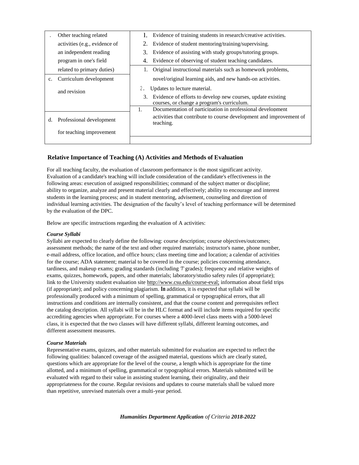|                | Other teaching related        | Evidence of training students in research/creative activities.<br>1.                                                                                  |
|----------------|-------------------------------|-------------------------------------------------------------------------------------------------------------------------------------------------------|
|                | activities (e.g., evidence of | 2.<br>Evidence of student mentoring/training/supervising.                                                                                             |
|                | an independent reading        | 3.<br>Evidence of assisting with study groups/tutoring groups.                                                                                        |
|                | program in one's field        | Evidence of observing of student teaching candidates.<br>4.                                                                                           |
|                | related to primary duties)    | Original instructional materials such as homework problems,<br>1.                                                                                     |
| $\mathbf{c}$ . | Curriculum development        | novel/original learning aids, and new hands-on activities.                                                                                            |
|                | and revision                  | 2.<br>Updates to lecture material.<br>Evidence of efforts to develop new courses, update existing<br>3.<br>courses, or change a program's curriculum. |
|                |                               | Documentation of participation in professional development<br>1.                                                                                      |
| d.             | Professional development      | activities that contribute to course development and improvement of<br>teaching.                                                                      |
|                | for teaching improvement      |                                                                                                                                                       |
|                |                               |                                                                                                                                                       |

## **Relative Importance of Teaching (A) Activities and Methods of Evaluation**

For all teaching faculty, the evaluation of classroom performance is the most significant activity. Evaluation of a candidate's teaching will include consideration of the candidate's effectiveness in the following areas: execution of assigned responsibilities; command of the subject matter or discipline; ability to organize, analyze and present material clearly and effectively; ability to encourage and interest students in the learning process; and in student mentoring, advisement, counseling and direction of individual learning activities. The designation of the faculty's level of teaching performance will be determined by the evaluation of the DPC.

Below are specific instructions regarding the evaluation of A activities:

#### *Course Syllabi*

Syllabi are expected to clearly define the following: course description; course objectives/outcomes; assessment methods; the name of the text and other required materials; instructor's name, phone number, e-mail address, office location, and office hours; class meeting time and location; a calendar of activities for the course; ADA statement; material to be covered in the course; policies concerning attendance, tardiness, and makeup exams; grading standards (including *'T'* grades); frequency and relative weights of exams, quizzes, homework, papers, and other materials; laboratory/studio safety rules (if appropriate); link to the University student evaluation sit[e http://www.csu.edu/course-eval;](http://www.csu.edu/course-eval;) information about field trips (if appropriate); and policy concerning plagiarism. **In** addition, it is expected that syllabi will be professionally produced with a minimum of spelling, grammatical or typographical errors, that all instructions and conditions are internally consistent, and that the course content and prerequisites reflect the catalog description. All syllabi will be in the HLC format and will include items required for specific accrediting agencies when appropriate. For courses where a 4000-level class meets with a 5000-level class, it is expected that the two classes will have different syllabi, different learning outcomes, and different assessment measures.

#### *Course Materials*

Representative exams, quizzes, and other materials submitted for evaluation are expected to reflect the following qualities: balanced coverage of the assigned material, questions which are clearly stated, questions which are appropriate for the level of the course, a length which is appropriate for the time allotted, and a minimum of spelling, grammatical or typographical errors. Materials submitted will be evaluated with regard to their value in assisting student learning, their originality, and their appropriateness for the course. Regular revisions and updates to course materials shall be valued more than repetitive, unrevised materials over a multi-year period.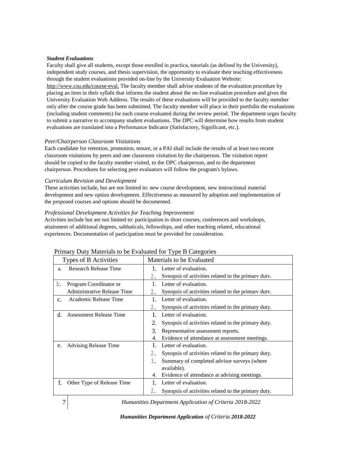#### *Student Evaluations*

Faculty shall give all students, except those enrolled in practica, tutorials (as defined by the University), independent study courses, and thesis supervision, the opportunity to evaluate their teaching effectiveness through the student evaluations provided on-line by the University Evaluation Website: <http://www.csu.edu/course-eval.> The faculty member shall advise students of the evaluation procedure by placing an item in their syllabi that informs the student about the on-line evaluation procedure and gives the University Evaluation Web Address. The results of these evaluations will be provided to the faculty member only after the course grade has been submitted. The faculty member will place in their portfolio the evaluations (including student comments) for each course evaluated during the review period. The department urges faculty to submit a narrative to accompany student evaluations. The DPC will determine how results from student evaluations are translated into a Performance Indicator (Satisfactory, Significant, etc.).

#### *Peer/Chairperson Classroom Visitations*

Each candidate for retention, promotion, tenure, or a PAI shall include the results of at least two recent classroom visitations by peers and one classroom visitation by the chairperson. The visitation report should be copied to the faculty member visited, to the DPC chairperson, and to the department chairperson. Procedures for selecting peer evaluators will follow the program's bylaws.

#### *Curriculum Revision and Development*

These activities include, but are not limited to: new course development, new instructional material development and new option development. Effectiveness as measured by adoption and implementation of the proposed courses and options should be documented.

#### *Professional Development Activities for Teaching Improvement*

Activities include but are not limited to: participation in short courses, conferences and workshops, attainment of additional degrees, sabbaticals, fellowships, and other teaching related, educational experiences. Documentation of participation must be provided for consideration.

| Types of B Activities |                                    | Materials to be Evaluated                                 |
|-----------------------|------------------------------------|-----------------------------------------------------------|
| a.                    | <b>Research Release Time</b>       | 1. Letter of evaluation.                                  |
|                       |                                    | Synopsis of activities related to the primary duty.<br>2. |
| b.                    | Program Coordinator or             | Letter of evaluation.                                     |
|                       | <b>Administrative Release Time</b> | Synopsis of activities related to the primary duty.<br>2. |
| C <sub>1</sub>        | Academic Release Time              | Letter of evaluation.                                     |
|                       |                                    | 2.<br>Synopsis of activities related to the primary duty. |
| d.                    | <b>Assessment Release Time</b>     | Letter of evaluation.                                     |
|                       |                                    | Synopsis of activities related to the primary duty.<br>2. |
|                       |                                    | 3.<br>Representative assessment reports.                  |
|                       |                                    | Evidence of attendance at assessment meetings.<br>4.      |
| e.                    | <b>Advising Release Time</b>       | Letter of evaluation.<br>1.                               |
|                       |                                    | Synopsis of activities related to the primary duty.<br>2. |
|                       |                                    | Summary of completed advisor surveys (where<br>3.         |
|                       |                                    | available).                                               |
|                       |                                    | Evidence of attendance at advising meetings.<br>4.        |
| f.                    | Other Type of Release Time         | Letter of evaluation.                                     |
|                       |                                    | 2.<br>Synopsis of activities related to the primary duty. |

#### Primary Duty Materials to be Evaluated for Type B Categories

7 *Humanities Department Application of Criteria 2018-2022*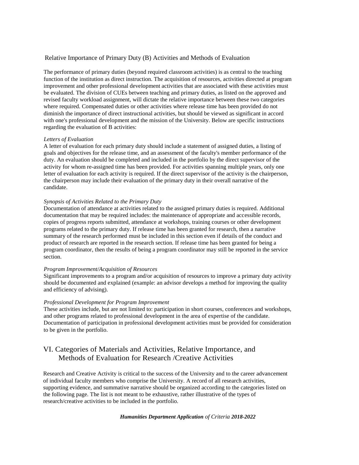#### Relative Importance of Primary Duty (B) Activities and Methods of Evaluation

The performance of primary duties (beyond required classroom activities) is as central to the teaching function of the institution as direct instruction. The acquisition of resources, activities directed at program improvement and other professional development activities that are associated with these activities must be evaluated. The division of CUEs between teaching and primary duties, as listed on the approved and revised faculty workload assignment, will dictate the relative importance between these two categories where required. Compensated duties or other activities where release time has been provided do not diminish the importance of direct instructional activities, but should be viewed as significant in accord with one's professional development and the mission of the University. Below are specific instructions regarding the evaluation of B activities:

#### *Letters of Evaluation*

A letter of evaluation for each primary duty should include a statement of assigned duties, a listing of goals and objectives for the release time, and an assessment of the faculty's member performance of the duty. An evaluation should be completed and included in the portfolio by the direct supervisor of the activity for whom re-assigned time has been provided. For activities spanning multiple years, only one letter of evaluation for each activity is required. If the direct supervisor of the activity is the chairperson, the chairperson may include their evaluation of the primary duty in their overall narrative of the candidate.

#### *Synopsis of Activities Related to the Primary Duty*

Documentation of attendance at activities related to the assigned primary duties is required. Additional documentation that may be required includes: the maintenance of appropriate and accessible records, copies of progress reports submitted, attendance at workshops, training courses or other development programs related to the primary duty. If release time has been granted for research, then a narrative summary of the research performed must be included in this section even if details of the conduct and product of research are reported in the research section. If release time has been granted for being a program coordinator, then the results of being a program coordinator may still be reported in the service section.

#### *Program Improvement/Acquisition of Resources*

Significant improvements to a program and/or acquisition of resources to improve a primary duty activity should be documented and explained (example: an advisor develops a method for improving the quality and efficiency of advising).

#### *Professional Development for Program Improvement*

These activities include, but are not limited to: participation in short courses, conferences and workshops, and other programs related to professional development in the area of expertise of the candidate. Documentation of participation in professional development activities must be provided for consideration to be given in the portfolio.

## VI. Categories of Materials and Activities, Relative Importance, and Methods of Evaluation for Research /Creative Activities

Research and Creative Activity is critical to the success of the University and to the career advancement of individual faculty members who comprise the University. A record of all research activities, supporting evidence, and summative narrative should be organized according to the categories listed on the following page. The list is not meant to be exhaustive, rather illustrative of the types of research/creative activities to be included in the portfolio.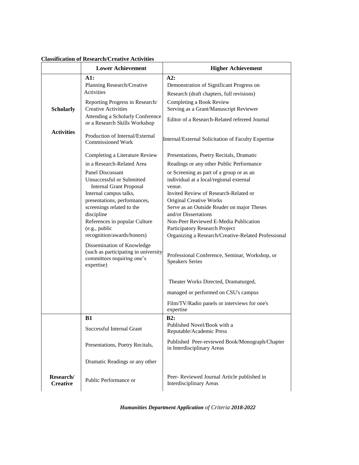|  | <b>Classification of Research/Creative Activities</b> |
|--|-------------------------------------------------------|
|--|-------------------------------------------------------|

|                              | <b>Lower Achievement</b>                                                                                                                                | <b>Higher Achievement</b>                                                                                                                                                                                                              |
|------------------------------|---------------------------------------------------------------------------------------------------------------------------------------------------------|----------------------------------------------------------------------------------------------------------------------------------------------------------------------------------------------------------------------------------------|
|                              | A1:                                                                                                                                                     | A2:                                                                                                                                                                                                                                    |
|                              | Planning Research/Creative                                                                                                                              | Demonstration of Significant Progress on                                                                                                                                                                                               |
|                              | <b>Activities</b>                                                                                                                                       | Research (draft chapters, full revisions)                                                                                                                                                                                              |
|                              | Reporting Progress in Research/                                                                                                                         | Completing a Book Review                                                                                                                                                                                                               |
| <b>Scholarly</b>             | <b>Creative Activities</b><br>Attending a Scholarly Conference                                                                                          | Serving as a Grant/Manuscript Reviewer                                                                                                                                                                                                 |
|                              | or a Research Skills Workshop                                                                                                                           | Editor of a Research-Related refereed Journal                                                                                                                                                                                          |
| <b>Activities</b>            | Production of Internal/External<br><b>Commissioned Work</b>                                                                                             | Internal/External Solicitation of Faculty Expertise                                                                                                                                                                                    |
|                              | Completing a Literature Review                                                                                                                          | Presentations, Poetry Recitals, Dramatic                                                                                                                                                                                               |
|                              | in a Research-Related Area                                                                                                                              | Readings or any other Public Performance                                                                                                                                                                                               |
|                              | <b>Panel Discussant</b><br>Unsuccessful or Submitted<br><b>Internal Grant Proposal</b><br>Internal campus talks,                                        | or Screening as part of a group or as an<br>individual at a local/regional external<br>venue.<br>Invited Review of Research-Related or                                                                                                 |
|                              | presentations, performances,<br>screenings related to the<br>discipline<br>References in popular Culture<br>(e.g., public<br>recognition/awards/honors) | <b>Original Creative Works</b><br>Serve as an Outside Reader on major Theses<br>and/or Dissertations<br>Non-Peer Reviewed E-Media Publication<br>Participatory Research Project<br>Organizing a Research/Creative-Related Professional |
|                              | Dissemination of Knowledge<br>(such as participating in university<br>committees requiring one's<br>expertise)                                          | Professional Conference, Seminar, Workshop, or<br><b>Speakers Series</b>                                                                                                                                                               |
|                              |                                                                                                                                                         | Theater Works Directed, Dramaturged,                                                                                                                                                                                                   |
|                              |                                                                                                                                                         | managed or performed on CSU's campus                                                                                                                                                                                                   |
|                              |                                                                                                                                                         | Film/TV/Radio panels or interviews for one's<br>expertise                                                                                                                                                                              |
|                              | <b>B1</b>                                                                                                                                               | B2:                                                                                                                                                                                                                                    |
|                              | Successful Internal Grant                                                                                                                               | Published Novel/Book with a<br>Reputable/Academic Press                                                                                                                                                                                |
|                              | Presentations, Poetry Recitals,                                                                                                                         | Published Peer-reviewed Book/Monograph/Chapter<br>in Interdisciplinary Areas                                                                                                                                                           |
|                              | Dramatic Readings or any other                                                                                                                          |                                                                                                                                                                                                                                        |
| Research/<br><b>Creative</b> | Public Performance or                                                                                                                                   | Peer-Reviewed Journal Article published in<br>Interdisciplinary Areas                                                                                                                                                                  |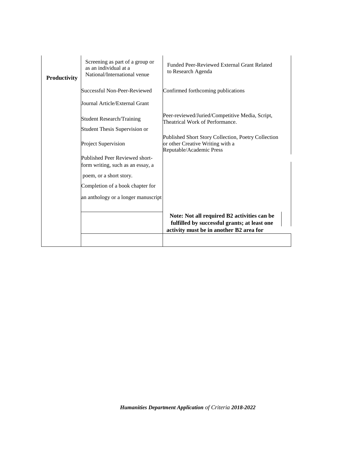| Productivity | Screening as part of a group or<br>as an individual at a<br>National/International venue | Funded Peer-Reviewed External Grant Related<br>to Research Agenda                                                                      |
|--------------|------------------------------------------------------------------------------------------|----------------------------------------------------------------------------------------------------------------------------------------|
|              | Successful Non-Peer-Reviewed                                                             | Confirmed forthcoming publications                                                                                                     |
|              | Journal Article/External Grant                                                           |                                                                                                                                        |
|              | <b>Student Research/Training</b>                                                         | Peer-reviewed/Juried/Competitive Media, Script,<br>Theatrical Work of Performance.                                                     |
|              | Student Thesis Supervision or                                                            |                                                                                                                                        |
|              | <b>Project Supervision</b>                                                               | Published Short Story Collection, Poetry Collection<br>or other Creative Writing with a<br>Reputable/Academic Press                    |
|              | Published Peer Reviewed short-                                                           |                                                                                                                                        |
|              | form writing, such as an essay, a                                                        |                                                                                                                                        |
|              | poem, or a short story.                                                                  |                                                                                                                                        |
|              | Completion of a book chapter for                                                         |                                                                                                                                        |
|              | an anthology or a longer manuscript                                                      |                                                                                                                                        |
|              |                                                                                          |                                                                                                                                        |
|              |                                                                                          | Note: Not all required B2 activities can be<br>fulfilled by successful grants; at least one<br>activity must be in another B2 area for |
|              |                                                                                          |                                                                                                                                        |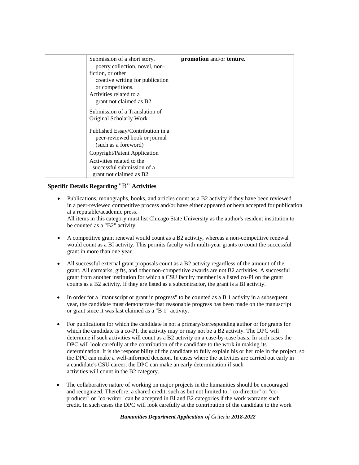| Submission of a short story,                                       | promotion and/or tenure. |
|--------------------------------------------------------------------|--------------------------|
| poetry collection, novel, non-                                     |                          |
| fiction, or other                                                  |                          |
| creative writing for publication                                   |                          |
| or competitions.                                                   |                          |
| Activities related to a                                            |                          |
| grant not claimed as B2                                            |                          |
| Submission of a Translation of                                     |                          |
| Original Scholarly Work                                            |                          |
| Published Essay/Contribution in a<br>peer-reviewed book or journal |                          |
| (such as a foreword)                                               |                          |
| Copyright/Patent Application                                       |                          |
| Activities related to the                                          |                          |
| successful submission of a                                         |                          |
| grant not claimed as B2                                            |                          |

## **Specific Details Regarding** "B" **Activities**

 Publications, monographs, books, and articles count as a B2 activity if they have been reviewed in a peer-reviewed competitive process and/or have either appeared or been accepted for publication at a reputable/academic press.

All items in this category must list Chicago State University as the author's resident institution to be counted as a "B2" activity.

- A competitive grant renewal would count as a B2 activity, whereas a non-competitive renewal would count as a BI activity. This permits faculty with multi-year grants to count the successful grant in more than one year.
- All successful external grant proposals count as a B2 activity regardless of the amount of the grant. All earmarks, gifts, and other non-competitive awards are not B2 activities. A successful grant from another institution for which a CSU faculty member is a listed co-PI on the grant counts as a B2 activity. If they are listed as a subcontractor, the grant is a BI activity.
- In order for a "manuscript or grant in progress" to be counted as a B 1 activity in a subsequent year, the candidate must demonstrate that reasonable progress has been made on the manuscript or grant since it was last claimed as a "B 1" activity.
- For publications for which the candidate is not a primary/corresponding author or for grants for which the candidate is a co-PI, the activity may or may not be a B2 activity. The DPC will determine if such activities will count as a B2 activity on a case-by-case basis. In such cases the DPC will look carefully at the contribution of the candidate to the work in making its determination. It is the responsibility of the candidate to fully explain his or her role in the project, so the DPC can make a well-informed decision. In cases where the activities are carried out early in a candidate's CSU career, the DPC can make an early determination if such activities will count in the B2 category.
- The collaborative nature of working on major projects in the humanities should be encouraged and recognized. Therefore, a shared credit, such as but not limited to, "co-director" or "coproducer" or "co-writer" can be accepted in Bl and B2 categories if the work warrants such credit. In such cases the DPC will look carefully at the contribution of the candidate to the work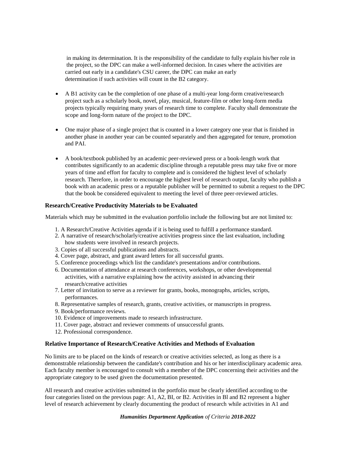in making its determination. It is the responsibility of the candidate to fully explain his/her role in the project, so the DPC can make a well-informed decision. In cases where the activities are carried out early in a candidate's CSU career, the DPC can make an early determination if such activities will count in the B2 category.

- A B1 activity can be the completion of one phase of a multi-year long-form creative/research project such as a scholarly book, novel, play, musical, feature-film or other long-form media projects typically requiring many years of research time to complete. Faculty shall demonstrate the scope and long-form nature of the project to the DPC.
- One major phase of a single project that is counted in a lower category one year that is finished in another phase in another year can be counted separately and then aggregated for tenure, promotion and PAI.
- A book/textbook published by an academic peer-reviewed press or a book-length work that contributes significantly to an academic discipline through a reputable press may take five or more years of time and effort for faculty to complete and is considered the highest level of scholarly research. Therefore, in order to encourage the highest level of research output, faculty who publish a book with an academic press or a reputable publisher will be permitted to submit a request to the DPC that the book be considered equivalent to meeting the level of three peer-reviewed articles.

### **Research/Creative Productivity Materials to be Evaluated**

Materials which may be submitted in the evaluation portfolio include the following but are not limited to:

- 1. A Research/Creative Activities agenda if it is being used to fulfill a performance standard.
- 2. A narrative of research/scholarly/creative activities progress since the last evaluation, including how students were involved in research projects.
- 3. Copies of all successful publications and abstracts.
- 4. Cover page, abstract, and grant award letters for all successful grants.
- 5. Conference proceedings which list the candidate's presentations and/or contributions.
- 6. Documentation of attendance at research conferences, workshops, or other developmental activities, with a narrative explaining how the activity assisted in advancing their research/creative activities
- 7. Letter of invitation to serve as a reviewer for grants, books, monographs, articles, scripts, performances.
- 8. Representative samples of research, grants, creative activities, or manuscripts in progress.
- 9. Book/performance reviews.
- 10. Evidence of improvements made to research infrastructure.
- 11. Cover page, abstract and reviewer comments of unsuccessful grants.
- 12. Professional correspondence.

#### **Relative Importance of Research/Creative Activities and Methods of Evaluation**

No limits are to be placed on the kinds of research or creative activities selected, as long as there is a demonstrable relationship between the candidate's contribution and his or her interdisciplinary academic area. Each faculty member is encouraged to consult with a member of the DPC concerning their activities and the appropriate category to be used given the documentation presented.

All research and creative activities submitted in the portfolio must be clearly identified according to the four categories listed on the previous page: A1, A2, BI, or B2. Activities in Bl and B2 represent a higher level of research achievement by clearly documenting the product of research while activities in A1 and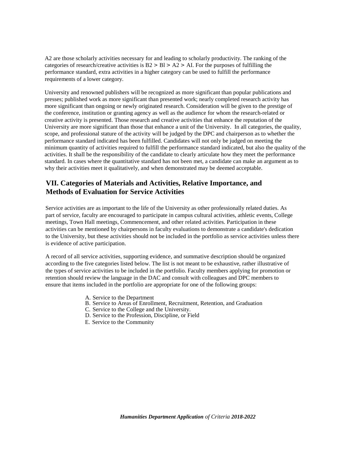A2 are those scholarly activities necessary for and leading to scholarly productivity. The ranking of the categories of research/creative activities is  $B2 > B1 > A2 > AI$ . For the purposes of fulfilling the performance standard, extra activities in a higher category can be used to fulfill the performance requirements of a lower category.

University and renowned publishers will be recognized as more significant than popular publications and presses; published work as more significant than presented work; nearly completed research activity has more significant than ongoing or newly originated research. Consideration will be given to the prestige of the conference, institution or granting agency as well as the audience for whom the research-related or creative activity is presented. Those research and creative activities that enhance the reputation of the University are more significant than those that enhance a unit of the University. In all categories, the quality, scope, and professional stature of the activity will be judged by the DPC and chairperson as to whether the performance standard indicated has been fulfilled. Candidates will not only be judged on meeting the minimum quantity of activities required to fulfill the performance standard indicated, but also the quality of the activities. It shall be the responsibility of the candidate to clearly articulate how they meet the performance standard. In cases where the quantitative standard has not been met, a candidate can make an argument as to why their activities meet it qualitatively, and when demonstrated may be deemed acceptable.

## **VII. Categories of Materials and Activities, Relative Importance, and Methods of Evaluation for Service Activities**

Service activities are as important to the life of the University as other professionally related duties. As part of service, faculty are encouraged to participate in campus cultural activities, athletic events, College meetings, Town Hall meetings, Commencement, and other related activities. Participation in these activities can be mentioned by chairpersons in faculty evaluations to demonstrate a candidate's dedication to the University, but these activities should not be included in the portfolio as service activities unless there is evidence of active participation.

A record of all service activities, supporting evidence, and summative description should be organized according to the five categories listed below. The list is not meant to be exhaustive, rather illustrative of the types of service activities to be included in the portfolio. Faculty members applying for promotion or retention should review the language in the DAC and consult with colleagues and DPC members to ensure that items included in the portfolio are appropriate for one of the following groups:

- A. Service to the Department
- B. Service to Areas of Enrollment, Recruitment, Retention, and Graduation
- C. Service to the College and the University.
- D. Service to the Profession, Discipline, or Field
- E. Service to the Community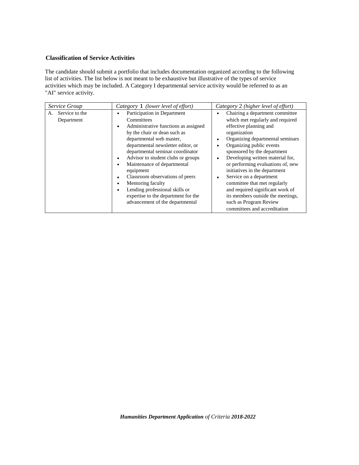## **Classification of Service Activities**

The candidate should submit a portfolio that includes documentation organized according to the following list of activities. The list below is not meant to be exhaustive but illustrative of the types of service activities which may be included. A Category I departmental service activity would be referred to as an "AI" service activity.

| Service Group                      | Category 1 (lower level of effort)                                                                                                                                                                                                                                                                                                                                                                                                                                            | Category 2 (higher level of effort)                                                                                                                                                                                                                                                                                                                                                                                                                                                                                                                                           |
|------------------------------------|-------------------------------------------------------------------------------------------------------------------------------------------------------------------------------------------------------------------------------------------------------------------------------------------------------------------------------------------------------------------------------------------------------------------------------------------------------------------------------|-------------------------------------------------------------------------------------------------------------------------------------------------------------------------------------------------------------------------------------------------------------------------------------------------------------------------------------------------------------------------------------------------------------------------------------------------------------------------------------------------------------------------------------------------------------------------------|
| Service to the<br>А.<br>Department | Participation in Department<br>Committees<br>Administrative functions as assigned<br>by the chair or dean such as<br>departmental web master,<br>departmental newsletter editor, or<br>departmental seminar coordinator<br>Advisor to student clubs or groups<br>Maintenance of departmental<br>equipment<br>Classroom observations of peers<br>Mentoring faculty<br>Lending professional skills or<br>expertise to the department for the<br>advancement of the departmental | Chairing a department committee<br>$\bullet$<br>which met regularly and required<br>effective planning and<br>organization<br>Organizing departmental seminars<br>٠<br>Organizing public events<br>$\bullet$<br>sponsored by the department<br>Developing written material for,<br>$\bullet$<br>or performing evaluations of, new<br>initiatives in the department<br>Service on a department<br>$\bullet$<br>committee that met regularly<br>and required significant work of<br>its members outside the meetings,<br>such as Program Review<br>committees and accreditation |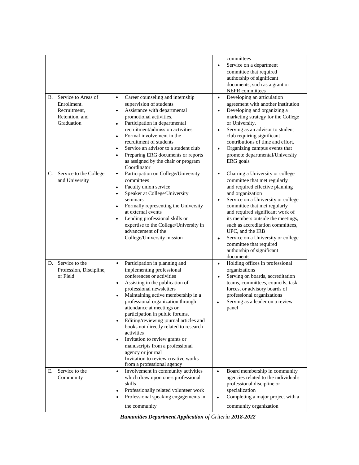| В. | Service to Areas of<br>Enrollment.<br>Recruitment,<br>Retention, and<br>Graduation | Career counseling and internship<br>$\bullet$<br>supervision of students<br>Assistance with departmental<br>$\bullet$<br>promotional activities.<br>Participation in departmental<br>$\bullet$<br>recruitment/admission activities<br>Formal involvement in the<br>$\bullet$<br>recruitment of students<br>Service an advisor to a student club<br>$\bullet$<br>Preparing ERG documents or reports<br>$\bullet$<br>as assigned by the chair or program<br>Coordinator                                                                                                                                                  | $\bullet$<br>$\bullet$<br>$\bullet$ | committees<br>Service on a department<br>committee that required<br>authorship of significant<br>documents, such as a grant or<br>NEPR committees<br>Developing an articulation<br>agreement with another institution<br>Developing and organizing a<br>marketing strategy for the College<br>or University.<br>Serving as an advisor to student<br>club requiring significant<br>contributions of time and effort.<br>Organizing campus events that<br>promote departmental/University<br>ERG goals |
|----|------------------------------------------------------------------------------------|------------------------------------------------------------------------------------------------------------------------------------------------------------------------------------------------------------------------------------------------------------------------------------------------------------------------------------------------------------------------------------------------------------------------------------------------------------------------------------------------------------------------------------------------------------------------------------------------------------------------|-------------------------------------|------------------------------------------------------------------------------------------------------------------------------------------------------------------------------------------------------------------------------------------------------------------------------------------------------------------------------------------------------------------------------------------------------------------------------------------------------------------------------------------------------|
| C. | Service to the College<br>and University                                           | Participation on College/University<br>$\bullet$<br>committees<br>Faculty union service<br>$\bullet$<br>Speaker at College/University<br>$\bullet$<br>seminars<br>Formally representing the University<br>$\bullet$<br>at external events<br>Lending professional skills or<br>$\bullet$<br>expertise to the College/University in<br>advancement of the<br>College/University mission                                                                                                                                                                                                                                 | $\bullet$<br>$\bullet$<br>$\bullet$ | Chairing a University or college<br>committee that met regularly<br>and required effective planning<br>and organization<br>Service on a University or college<br>committee that met regularly<br>and required significant work of<br>its members outside the meetings,<br>such as accreditation committees,<br>UPC, and the IRB<br>Service on a University or college<br>committee that required<br>authorship of significant<br>documents                                                           |
|    | D. Service to the<br>Profession, Discipline,<br>or Field                           | Participation in planning and<br>$\bullet$<br>implementing professional<br>conferences or activities<br>Assisting in the publication of<br>$\bullet$<br>professional newsletters<br>Maintaining active membership in a<br>$\bullet$<br>professional organization through<br>attendance at meetings or<br>participation in public forums.<br>Editing/reviewing journal articles and<br>books not directly related to research<br>activities<br>Invitation to review grants or<br>$\bullet$<br>manuscripts from a professional<br>agency or journal<br>Invitation to review creative works<br>from a professional agency | $\bullet$<br>$\bullet$<br>$\bullet$ | Holding offices in professional<br>organizations<br>Serving on boards, accreditation<br>teams, committees, councils, task<br>forces, or advisory boards of<br>professional organizations<br>Serving as a leader on a review<br>panel                                                                                                                                                                                                                                                                 |
| Е. | Service to the<br>Community                                                        | Involvement in community activities<br>$\bullet$<br>which draw upon one's professional<br>skills<br>Professionally related volunteer work<br>$\bullet$<br>Professional speaking engagements in<br>$\bullet$<br>the community                                                                                                                                                                                                                                                                                                                                                                                           | $\bullet$<br>$\bullet$              | Board membership in community<br>agencies related to the individual's<br>professional discipline or<br>specialization<br>Completing a major project with a<br>community organization                                                                                                                                                                                                                                                                                                                 |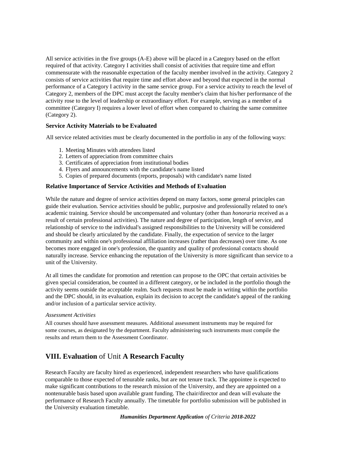All service activities in the five groups (A-E) above will be placed in a Category based on the effort required of that activity. Category I activities shall consist of activities that require time and effort commensurate with the reasonable expectation of the faculty member involved in the activity. Category 2 consists of service activities that require time and effort above and beyond that expected in the normal performance of a Category I activity in the same service group. For a service activity to reach the level of Category 2, members of the DPC must accept the faculty member's claim that his/her performance of the activity rose to the level of leadership or extraordinary effort. For example, serving as a member of a committee (Category I) requires a lower level of effort when compared to chairing the same committee (Category 2).

### **Service Activity Materials to be Evaluated**

All service related activities must be clearly documented in the portfolio in any of the following ways:

- 1. Meeting Minutes with attendees listed
- 2. Letters of appreciation from committee chairs
- 3. Certificates of appreciation from institutional bodies
- 4. Flyers and announcements with the candidate's name listed
- 5. Copies of prepared documents (reports, proposals) with candidate's name listed

### **Relative Importance of Service Activities and Methods of Evaluation**

While the nature and degree of service activities depend on many factors, some general principles can guide their evaluation. Service activities should be public, purposive and professionally related to one's academic training. Service should be uncompensated and voluntary (other than *honoraria* received as a result of certain professional activities). The nature and degree of participation, length of service, and relationship of service to the individual's assigned responsibilities to the University will be considered and should be clearly articulated by the candidate. Finally, the expectation of service to the larger community and within one's professional affiliation increases (rather than decreases) over time. As one becomes more engaged in one's profession, the quantity and quality of professional contacts should naturally increase. Service enhancing the reputation of the University is more significant than service to a unit of the University.

At all times the candidate for promotion and retention can propose to the OPC that certain activities be given special consideration, be counted in a different category, or be included in the portfolio though the activity seems outside the acceptable realm. Such requests must be made in writing within the portfolio and the DPC should, in its evaluation, explain its decision to accept the candidate's appeal of the ranking and/or inclusion of a particular service activity.

#### *Assessment Activities*

All courses should have assessment measures. Additional assessment instruments may be required for some courses, as designated by the department. Faculty administering such instruments must compile the results and return them to the Assessment Coordinator.

## **VIII. Evaluation** of Unit **A Research Faculty**

Research Faculty are faculty hired as experienced, independent researchers who have qualifications comparable to those expected of tenurable ranks, but are not tenure track. The appointee is expected to make significant contributions to the research mission of the University, and they are appointed on a nontenurable basis based upon available grant funding. The chair/director and dean will evaluate the performance of Research Faculty annually. The timetable for portfolio submission will be published in the University evaluation timetable.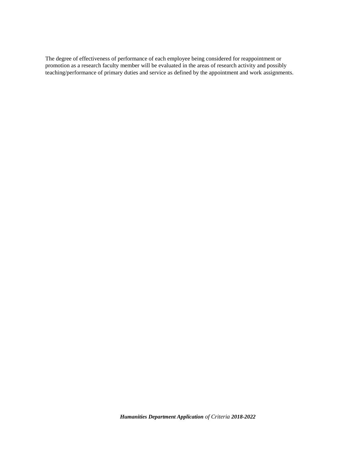The degree of effectiveness of performance of each employee being considered for reappointment or promotion as a research faculty member will be evaluated in the areas of research activity and possibly teaching/performance of primary duties and service as defined by the appointment and work assignments.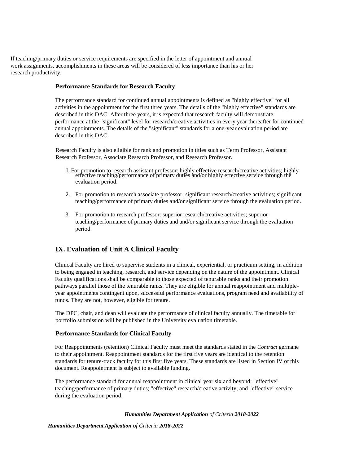If teaching/primary duties or service requirements are specified in the letter of appointment and annual work assignments, accomplishments in these areas will be considered of less importance than his or her research productivity.

#### **Performance Standards for Research Faculty**

The performance standard for continued annual appointments is defined as "highly effective" for all activities in the appointment for the first three years. The details of the "highly effective" standards are described in this DAC. After three years, it is expected that research faculty will demonstrate performance at the "significant" level for research/creative activities in every year thereafter for continued annual appointments. The details of the "significant" standards for a one-year evaluation period are described in this DAC.

Research Faculty is also eligible for rank and promotion in titles such as Term Professor, Assistant Research Professor, Associate Research Professor, and Research Professor.

- I. For promotion to research assistant professor: highly effective research/creative activities; highly effective teaching/performance of primary duties and/or highly effective service through the evaluation period.
- 2. For promotion to research associate professor: significant research/creative activities; significant teaching/performance of primary duties and/or significant service through the evaluation period.
- 3. For promotion to research professor: superior research/creative activities; superior teaching/performance of primary duties and and/or significant service through the evaluation period.

## **IX. Evaluation of Unit A Clinical Faculty**

Clinical Faculty are hired to supervise students in a clinical, experiential, or practicum setting, in addition to being engaged in teaching, research, and service depending on the nature of the appointment. Clinical Faculty qualifications shall be comparable to those expected of tenurable ranks and their promotion pathways parallel those of the tenurable ranks. They are eligible for annual reappointment and multipleyear appointments contingent upon, successful performance evaluations, program need and availability of funds. They are not, however, eligible for tenure.

The DPC, chair, and dean will evaluate the performance of clinical faculty annually. The timetable for portfolio submission will be published in the University evaluation timetable.

## **Performance Standards for Clinical Faculty**

For Reappointments (retention) Clinical Faculty must meet the standards stated in the *Contract* germane to their appointment. Reappointment standards for the first five years are identical to the retention standards for tenure-track faculty for this first five years. These standards are listed in Section IV of this document. Reappointment is subject to available funding.

The performance standard for annual reappointment in clinical year six and beyond: "effective" teaching/performance of primary duties; "effective" research/creative activity; and "effective" service during the evaluation period.

#### *Humanities Department Application of Criteria 2018-2022*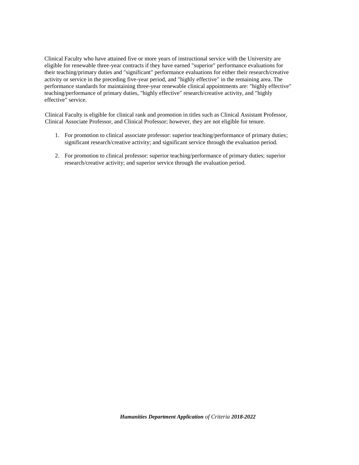Clinical Faculty who have attained five or more years of instructional service with the University are eligible for renewable three-year contracts if they have earned "superior" performance evaluations for their teaching/primary duties and "significant" performance evaluations for either their research/creative activity or service in the preceding five-year period, and "highly effective" in the remaining area. The performance standards for maintaining three-year renewable clinical appointments are: "highly effective" teaching/performance of primary duties, "highly effective" research/creative activity, and "highly effective" service.

Clinical Faculty is eligible for clinical rank and promotion in titles such as Clinical Assistant Professor, Clinical Associate Professor, and Clinical Professor; however, they are not eligible for tenure.

- 1. For promotion to clinical associate professor: superior teaching/performance of primary duties; significant research/creative activity; and significant service through the evaluation period.
- 2. For promotion to clinical professor: superior teaching/performance of primary duties; superior research/creative activity; and superior service through the evaluation period.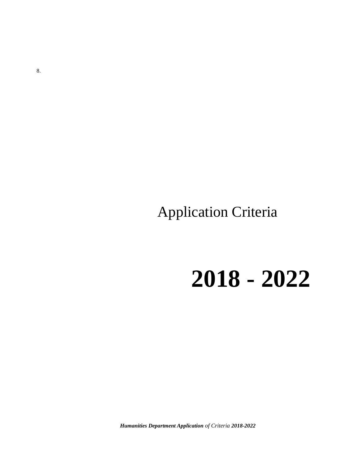Application Criteria

**2018 - 2022**

*Humanities Department Application of Criteria 2018-2022*

8.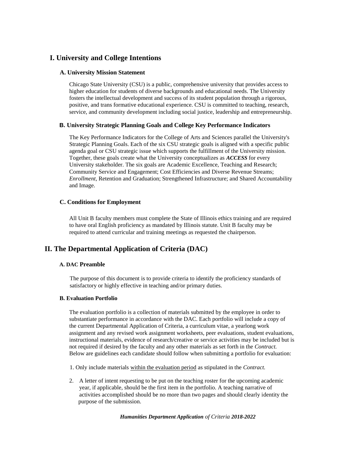## **I. University and College Intentions**

#### **A. University Mission Statement**

Chicago State University (CSU) is a public, comprehensive university that provides access to higher education for students of diverse backgrounds and educational needs. The University fosters the intellectual development and success of its student population through a rigorous, positive, and trans formative educational experience. CSU is committed to teaching, research, service, and community development including social justice, leadership and entrepreneurship.

#### **B. University Strategic Planning Goals and College Key Performance Indicators**

The Key Performance Indicators for the College of Arts and Sciences parallel the University's Strategic Planning Goals. Each of the six CSU strategic goals is aligned with a specific public agenda goal or CSU strategic issue which supports the fulfillment of the University mission. Together, these goals create what the University conceptualizes as *ACCESS* for every University stakeholder. The six goals are Academic Excellence, Teaching and Research; Community Service and Engagement; Cost Efficiencies and Diverse Revenue Streams; *Enrollment,* Retention and Graduation; Strengthened Infrastructure; and Shared Accountability and Image.

#### **C. Conditions for Employment**

All Unit B faculty members must complete the State of Illinois ethics training and are required to have oral English proficiency as mandated by Illinois statute. Unit B faculty may be required to attend curricular and training meetings as requested the chairperson.

## **II. The Departmental Application of Criteria (DAC)**

#### **A. DAC Preamble**

The purpose of this document is to provide criteria to identify the proficiency standards of satisfactory or highly effective in teaching and/or primary duties.

#### **B. Evaluation Portfolio**

The evaluation portfolio is a collection of materials submitted by the employee in order to substantiate performance in accordance with the DAC. Each portfolio will include a copy of the current Departmental Application of Criteria, a curriculum vitae, a yearlong work assignment and any revised work assignment worksheets, peer evaluations, student evaluations, instructional materials, evidence of research/creative or service activities may be included but is not required if desired by the faculty and any other materials as set forth in the *Contract.*  Below are guidelines each candidate should follow when submitting a portfolio for evaluation:

- 1. Only include materials within the evaluation period as stipulated in the *Contract.*
- 2. A letter of intent requesting to be put on the teaching roster for the upcoming academic year, if applicable, should be the first item in the portfolio. A teaching narrative of activities accomplished should be no more than two pages and should clearly identity the purpose of the submission.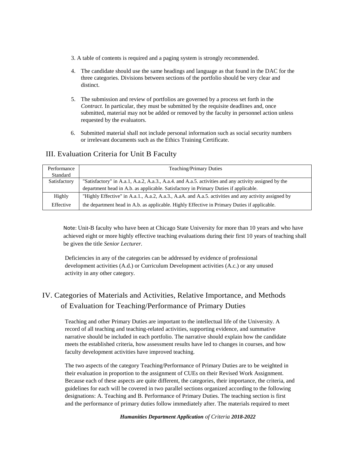- 3. A table of contents is required and a paging system is strongly recommended.
- 4. The candidate should use the same headings and language as that found in the DAC for the three categories. Divisions between sections of the portfolio should be very clear and distinct.
- 5. The submission and review of portfolios are governed by a process set forth in the *Contract.* In particular, they must be submitted by the requisite deadlines and, once submitted, material may not be added or removed by the faculty in personnel action unless requested by the evaluators.
- 6. Submitted material shall not include personal information such as social security numbers or irrelevant documents such as the Ethics Training Certificate.

## III. Evaluation Criteria for Unit B Faculty

| Performance  | <b>Teaching/Primary Duties</b>                                                                        |
|--------------|-------------------------------------------------------------------------------------------------------|
| Standard     |                                                                                                       |
| Satisfactory | "Satisfactory" in A.a.1, A.a.2, A.a.3., A.a.4. and A.a.5. activities and any activity assigned by the |
|              | department head in A.b. as applicable. Satisfactory in Primary Duties if applicable.                  |
| Highly       | "Highly Effective" in A.a.1., A.a.2, A.a.3., A.aA. and A.a.5. activities and any activity assigned by |
| Effective    | the department head in A.b. as applicable. Highly Effective in Primary Duties if applicable.          |

Note: Unit-B faculty who have been at Chicago State University for more than 10 years and who have achieved eight or more highly effective teaching evaluations during their first 10 years of teaching shall be given the title *Senior Lecturer.* 

Deficiencies in any of the categories can be addressed by evidence of professional development activities (A.d.) or Curriculum Development activities (A.c.) or any unused activity in any other category.

## IV. Categories of Materials and Activities, Relative Importance, and Methods of Evaluation for Teaching/Performance of Primary Duties

Teaching and other Primary Duties are important to the intellectual life of the University. A record of all teaching and teaching-related activities, supporting evidence, and summative narrative should be included in each portfolio. The narrative should explain how the candidate meets the established criteria, how assessment results have led to changes in courses, and how faculty development activities have improved teaching.

The two aspects of the category Teaching/Performance of Primary Duties are to be weighted in their evaluation in proportion to the assignment of CUEs on their Revised Work Assignment. Because each of these aspects are quite different, the categories, their importance, the criteria, and guidelines for each will be covered in two parallel sections organized according to the following designations: A. Teaching and B. Performance of Primary Duties. The teaching section is first and the performance of primary duties follow immediately after. The materials required to meet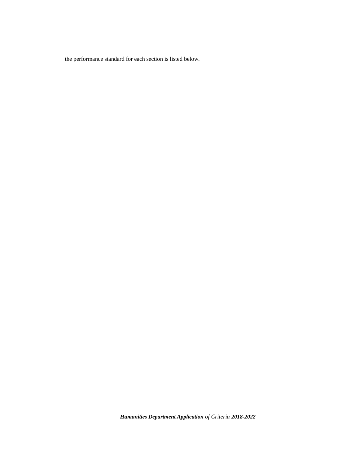the performance standard for each section is listed below.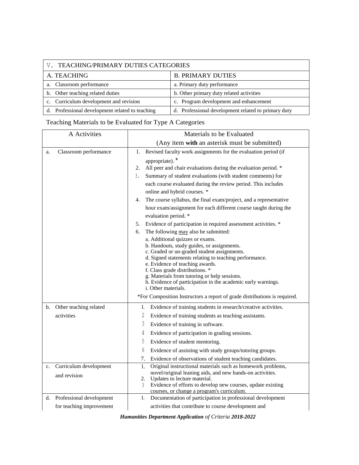| V. TEACHING/PRIMARY DUTIES CATEGORIES           |                                                     |  |
|-------------------------------------------------|-----------------------------------------------------|--|
| A. TEACHING                                     | <b>B. PRIMARY DUTIES</b>                            |  |
| a. Classroom performance                        | a. Primary duty performance                         |  |
| b. Other teaching related duties                | b. Other primary duty related activities            |  |
| c. Curriculum development and revision          | c. Program development and enhancement              |  |
| d. Professional development related to teaching | d. Professional development related to primary duty |  |

# Teaching Materials to be Evaluated for Type A Categories

| A Activities                                                                               | Materials to be Evaluated                                                                                                                                                                                                                                                                                                                                                                                                                                                                                                                                                                                                                                                                                                                                                                                                                                                                                                                                                                                                                                                                                                                |  |  |
|--------------------------------------------------------------------------------------------|------------------------------------------------------------------------------------------------------------------------------------------------------------------------------------------------------------------------------------------------------------------------------------------------------------------------------------------------------------------------------------------------------------------------------------------------------------------------------------------------------------------------------------------------------------------------------------------------------------------------------------------------------------------------------------------------------------------------------------------------------------------------------------------------------------------------------------------------------------------------------------------------------------------------------------------------------------------------------------------------------------------------------------------------------------------------------------------------------------------------------------------|--|--|
|                                                                                            | (Any item with an asterisk must be submitted)                                                                                                                                                                                                                                                                                                                                                                                                                                                                                                                                                                                                                                                                                                                                                                                                                                                                                                                                                                                                                                                                                            |  |  |
| Classroom performance<br>a.                                                                | Revised faculty work assignments for the evaluation period (if<br>1.<br>appropriate). <sup>*</sup><br>All peer and chair evaluations during the evaluation period. *<br>2.<br>Summary of student evaluations (with student comments) for<br>3.<br>each course evaluated during the review period. This includes<br>online and hybrid courses. *<br>The course syllabus, the final exam/project, and a representative<br>4.<br>hour exam/assignment for each different course taught during the<br>evaluation period. *<br>Evidence of participation in required assessment activities. *<br>5.<br>The following may also be submitted:<br>6.<br>a. Additional quizzes or exams.<br>b. Handouts, study guides, or assignments.<br>c. Graded or un-graded student assignments.<br>d. Signed statements relating to teaching performance.<br>e. Evidence of teaching awards.<br>f. Class grade distributions. *<br>g. Materials from tutoring or help sessions.<br>h. Evidence of participation in the academic early warnings.<br><i>i</i> . Other materials.<br>*For Composition Instructors a report of grade distributions is required. |  |  |
| Other teaching related<br>b.<br>activities<br>Curriculum development<br>c.<br>and revision | Evidence of training students in research/creative activities.<br>1.<br>2<br>Evidence of training students as teaching assistants.<br>3<br>Evidence of training in software.<br>4<br>Evidence of participation in grading sessions.<br>5<br>Evidence of student mentoring.<br>6<br>Evidence of assisting with study groups/tutoring groups.<br>7.<br>Evidence of observations of student teaching candidates.<br>Original instructional materials such as homework problems,<br>1.<br>novel/original leaning aids, and new hands-on activities.<br>Updates to lecture material.<br>2.<br>Evidence of efforts to develop new courses, update existing<br>3<br>courses, or change a program's curriculum.                                                                                                                                                                                                                                                                                                                                                                                                                                  |  |  |
| Professional development<br>d.<br>for teaching improvement                                 | Documentation of participation in professional development<br>1.<br>activities that contribute to course development and                                                                                                                                                                                                                                                                                                                                                                                                                                                                                                                                                                                                                                                                                                                                                                                                                                                                                                                                                                                                                 |  |  |

|  | <b>Humanities Department Application of Criteria 2018-2022</b> |  |  |
|--|----------------------------------------------------------------|--|--|
|  |                                                                |  |  |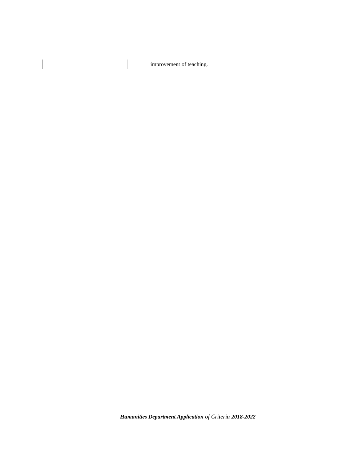improvement of teaching.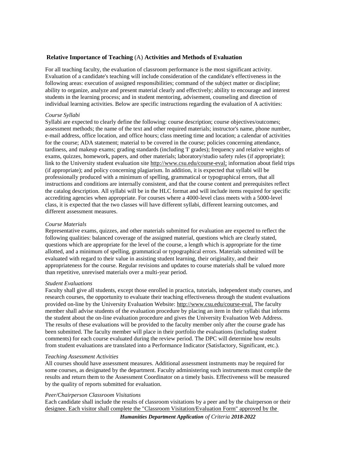#### **Relative Importance of Teaching** (A) **Activities and Methods of Evaluation**

For all teaching faculty, the evaluation of classroom performance is the most significant activity. Evaluation of a candidate's teaching will include consideration of the candidate's effectiveness in the following areas: execution of assigned responsibilities; command of the subject matter or discipline; ability to organize, analyze and present material clearly and effectively; ability to encourage and interest students in the learning process; and in student mentoring, advisement, counseling and direction of individual learning activities. Below are specific instructions regarding the evaluation of A activities:

#### *Course Syllabi*

Syllabi are expected to clearly define the following: course description; course objectives/outcomes; assessment methods; the name of the text and other required materials; instructor's name, phone number, e-mail address, office location, and office hours; class meeting time and location; a calendar of activities for the course; ADA statement; material to be covered in the course; policies concerning attendance, tardiness, and makeup exams; grading standards (including 'I' grades); frequency and relative weights of exams, quizzes, homework, papers, and other materials; laboratory/studio safety rules (if appropriate); link to the University student evaluation sit[e http://www.csu.edu/course-eval;](http://www.csu.edu/course-eval;) information about field trips (if appropriate); and policy concerning plagiarism. In addition, it is expected that syllabi will be professionally produced with a minimum of spelling, grammatical or typographical errors, that all instructions and conditions are internally consistent, and that the course content and prerequisites reflect the catalog description. All syllabi will be in the HLC format and will include items required for specific accrediting agencies when appropriate. For courses where a 4000-level class meets with a 5000-level class, it is expected that the two classes will have different syllabi, different learning outcomes, and different assessment measures.

#### *Course Materials*

Representative exams, quizzes, and other materials submitted for evaluation are expected to reflect the following qualities: balanced coverage of the assigned material, questions which are clearly stated, questions which are appropriate for the level of the course, a length which is appropriate for the time allotted, and a minimum of spelling, grammatical or typographical errors. Materials submitted will be evaluated with regard to their value in assisting student learning, their originality, and their appropriateness for the course. Regular revisions and updates to course materials shall be valued more than repetitive, unrevised materials over a multi-year period.

#### *Student Evaluations*

Faculty shall give all students, except those enrolled in practica, tutorials, independent study courses, and research courses, the opportunity to evaluate their teaching effectiveness through the student evaluations provided on-line by the University Evaluation Website:<http://www.csu.edu/course-eval.> The faculty member shall advise students of the evaluation procedure by placing an item in their syllabi that informs the student about the on-line evaluation procedure and gives the University Evaluation Web Address. The results of these evaluations will be provided to the faculty member only after the course grade has been submitted. The faculty member will place in their portfolio the evaluations (including student comments) for each course evaluated during the review period. The DPC will determine how results from student evaluations are translated into a Performance Indicator (Satisfactory, Significant, etc.).

#### *Teaching Assessment Activities*

All courses should have assessment measures. Additional assessment instruments may be required for some courses, as designated by the department. Faculty administering such instruments must compile the results and return them to the Assessment Coordinator on a timely basis. Effectiveness will be measured by the quality of reports submitted for evaluation.

#### *Peer/Chairperson Classroom Visitations*

Each candidate shall include the results of classroom visitations by a peer and by the chairperson or their designee. Each visitor shall complete the "Classroom Visitation/Evaluation Form" approved by the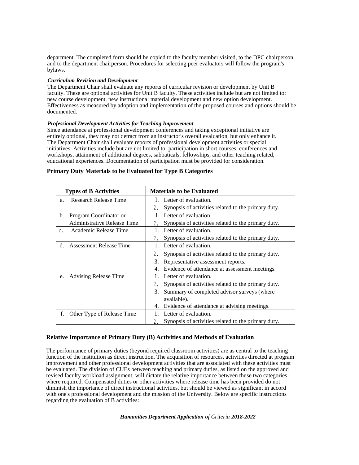department. The completed form should be copied to the faculty member visited, to the DPC chairperson, and to the department chairperson. Procedures for selecting peer evaluators will follow the program's bylaws.

#### *Curriculum Revision and Development*

The Department Chair shall evaluate any reports of curricular revision or development by Unit B faculty. These are optional activities for Unit B faculty. These activities include but are not limited to: new course development, new instructional material development and new option development. Effectiveness as measured by adoption and implementation of the proposed courses and options should be documented.

#### *Professional Development Activities for Teaching Improvement*

Since attendance at professional development conferences and taking exceptional initiative are entirely optional, they may not detract from an instructor's overall evaluation, but only enhance it. The Department Chair shall evaluate reports of professional development activities or special initiatives. Activities include but are not limited to: participation in short courses, conferences and workshops, attainment of additional degrees, sabbaticals, fellowships, and other teaching related, educational experiences. Documentation of participation must be provided for consideration.

| <b>Types of B Activities</b> |                              | <b>Materials to be Evaluated</b>                          |  |  |
|------------------------------|------------------------------|-----------------------------------------------------------|--|--|
| a.                           | Research Release Time        | 1. Letter of evaluation.                                  |  |  |
|                              |                              | Synopsis of activities related to the primary duty.<br>2. |  |  |
| b.                           | Program Coordinator or       | Letter of evaluation.                                     |  |  |
|                              | Administrative Release Time  | Synopsis of activities related to the primary duty.<br>2. |  |  |
| c.                           | Academic Release Time        | Letter of evaluation.<br>$\mathbf{1}$                     |  |  |
|                              |                              | Synopsis of activities related to the primary duty.<br>2. |  |  |
| d.                           | Assessment Release Time      | Letter of evaluation.<br>1.                               |  |  |
|                              |                              | Synopsis of activities related to the primary duty.       |  |  |
|                              |                              | 3.<br>Representative assessment reports.                  |  |  |
|                              |                              | Evidence of attendance at assessment meetings.<br>4.      |  |  |
| e.                           | <b>Advising Release Time</b> | Letter of evaluation.                                     |  |  |
|                              |                              | Synopsis of activities related to the primary duty.       |  |  |
|                              |                              | Summary of completed advisor surveys (where<br>3.         |  |  |
|                              |                              | available).                                               |  |  |
|                              |                              | Evidence of attendance at advising meetings.<br>4.        |  |  |
| f.                           | Other Type of Release Time   | Letter of evaluation.                                     |  |  |
|                              |                              | Synopsis of activities related to the primary duty.       |  |  |

#### **Primary Duty Materials to be Evaluated for Type B Categories**

#### **Relative Importance of Primary Duty (B) Activities and Methods of Evaluation**

The performance of primary duties (beyond required classroom activities) are as central to the teaching function of the institution as direct instruction. The acquisition of resources, activities directed at program improvement and other professional development activities that are associated with these activities must be evaluated. The division of CUEs between teaching and primary duties, as listed on the approved and revised faculty workload assignment, will dictate the relative importance between these two categories where required. Compensated duties or other activities where release time has been provided do not diminish the importance of direct instructional activities, but should be viewed as significant in accord with one's professional development and the mission of the University. Below are specific instructions regarding the evaluation of B activities: